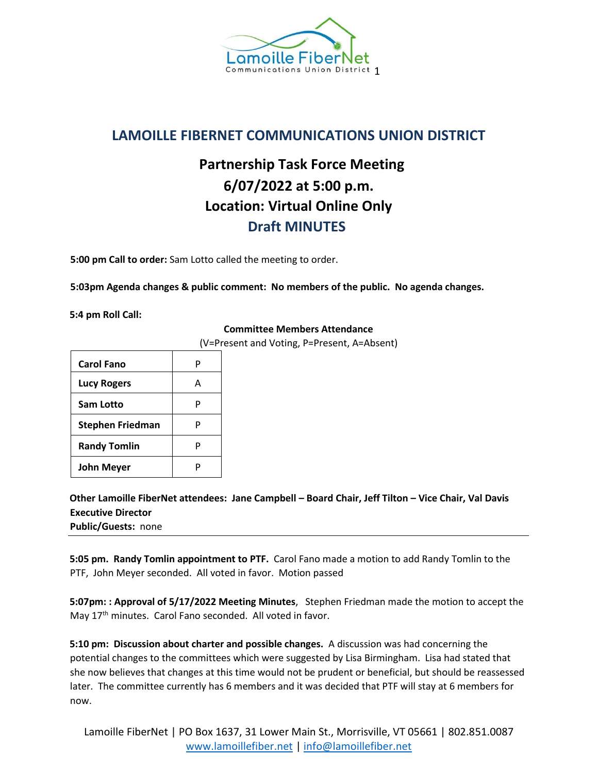

## **LAMOILLE FIBERNET COMMUNICATIONS UNION DISTRICT**

## **Partnership Task Force Meeting 6/07/2022 at 5:00 p.m. Location: Virtual Online Only Draft MINUTES**

**5:00 pm Call to order:** Sam Lotto called the meeting to order.

**5:03pm Agenda changes & public comment: No members of the public. No agenda changes.**

**5:4 pm Roll Call:** 

## **Committee Members Attendance**

(V=Present and Voting, P=Present, A=Absent)

| <b>Carol Fano</b>       |  |
|-------------------------|--|
| <b>Lucy Rogers</b>      |  |
| <b>Sam Lotto</b>        |  |
| <b>Stephen Friedman</b> |  |
| <b>Randy Tomlin</b>     |  |
| <b>John Meyer</b>       |  |

**Other Lamoille FiberNet attendees: Jane Campbell – Board Chair, Jeff Tilton – Vice Chair, Val Davis Executive Director Public/Guests:** none

**5:05 pm. Randy Tomlin appointment to PTF.** Carol Fano made a motion to add Randy Tomlin to the PTF, John Meyer seconded. All voted in favor. Motion passed

**5:07pm: : Approval of 5/17/2022 Meeting Minutes**, Stephen Friedman made the motion to accept the May 17<sup>th</sup> minutes. Carol Fano seconded. All voted in favor.

**5:10 pm: Discussion about charter and possible changes.** A discussion was had concerning the potential changes to the committees which were suggested by Lisa Birmingham. Lisa had stated that she now believes that changes at this time would not be prudent or beneficial, but should be reassessed later. The committee currently has 6 members and it was decided that PTF will stay at 6 members for now.

Lamoille FiberNet | PO Box 1637, 31 Lower Main St., Morrisville, VT 05661 | 802.851.0087 [www.lamoillefiber.net](http://www.lamoillefiber.net/) [|](http://www.lamoillefiber.net/) info@lamoillefiber.net